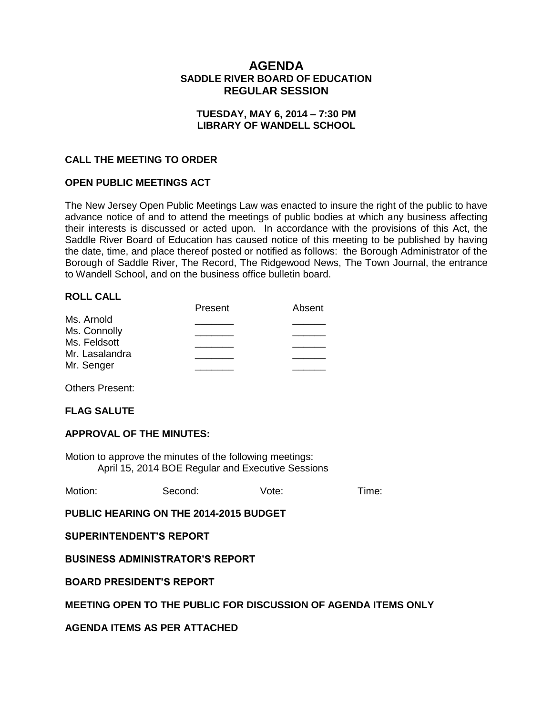# **AGENDA SADDLE RIVER BOARD OF EDUCATION REGULAR SESSION**

## **TUESDAY, MAY 6, 2014 – 7:30 PM LIBRARY OF WANDELL SCHOOL**

## **CALL THE MEETING TO ORDER**

### **OPEN PUBLIC MEETINGS ACT**

The New Jersey Open Public Meetings Law was enacted to insure the right of the public to have advance notice of and to attend the meetings of public bodies at which any business affecting their interests is discussed or acted upon. In accordance with the provisions of this Act, the Saddle River Board of Education has caused notice of this meeting to be published by having the date, time, and place thereof posted or notified as follows: the Borough Administrator of the Borough of Saddle River, The Record, The Ridgewood News, The Town Journal, the entrance to Wandell School, and on the business office bulletin board.

### **ROLL CALL**

|                | Present | Absent |
|----------------|---------|--------|
| Ms. Arnold     |         |        |
| Ms. Connolly   |         |        |
| Ms. Feldsott   |         |        |
| Mr. Lasalandra |         |        |
| Mr. Senger     |         |        |
|                |         |        |

Others Present:

### **FLAG SALUTE**

### **APPROVAL OF THE MINUTES:**

Motion to approve the minutes of the following meetings: April 15, 2014 BOE Regular and Executive Sessions

Motion: Second: Vote: Time:

**PUBLIC HEARING ON THE 2014-2015 BUDGET**

**SUPERINTENDENT'S REPORT**

**BUSINESS ADMINISTRATOR'S REPORT**

### **BOARD PRESIDENT'S REPORT**

## **MEETING OPEN TO THE PUBLIC FOR DISCUSSION OF AGENDA ITEMS ONLY**

**AGENDA ITEMS AS PER ATTACHED**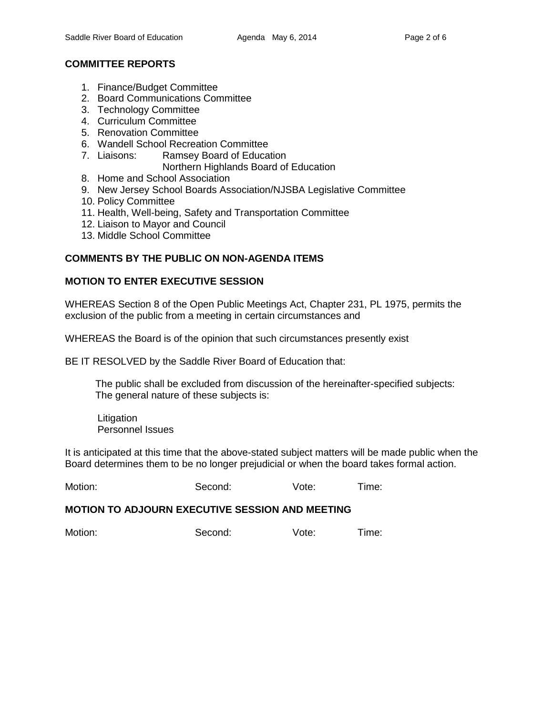# **COMMITTEE REPORTS**

- 1. Finance/Budget Committee
- 2. Board Communications Committee
- 3. Technology Committee
- 4. Curriculum Committee
- 5. Renovation Committee
- 6. Wandell School Recreation Committee
- 7. Liaisons: Ramsey Board of Education
	- Northern Highlands Board of Education
- 8. Home and School Association
- 9. New Jersey School Boards Association/NJSBA Legislative Committee
- 10. Policy Committee
- 11. Health, Well-being, Safety and Transportation Committee
- 12. Liaison to Mayor and Council
- 13. Middle School Committee

# **COMMENTS BY THE PUBLIC ON NON-AGENDA ITEMS**

## **MOTION TO ENTER EXECUTIVE SESSION**

WHEREAS Section 8 of the Open Public Meetings Act, Chapter 231, PL 1975, permits the exclusion of the public from a meeting in certain circumstances and

WHEREAS the Board is of the opinion that such circumstances presently exist

BE IT RESOLVED by the Saddle River Board of Education that:

 The public shall be excluded from discussion of the hereinafter-specified subjects: The general nature of these subjects is:

Litigation Personnel Issues

It is anticipated at this time that the above-stated subject matters will be made public when the Board determines them to be no longer prejudicial or when the board takes formal action.

Motion: Second: Vote: Time:

### **MOTION TO ADJOURN EXECUTIVE SESSION AND MEETING**

Motion: Second: Vote: Time: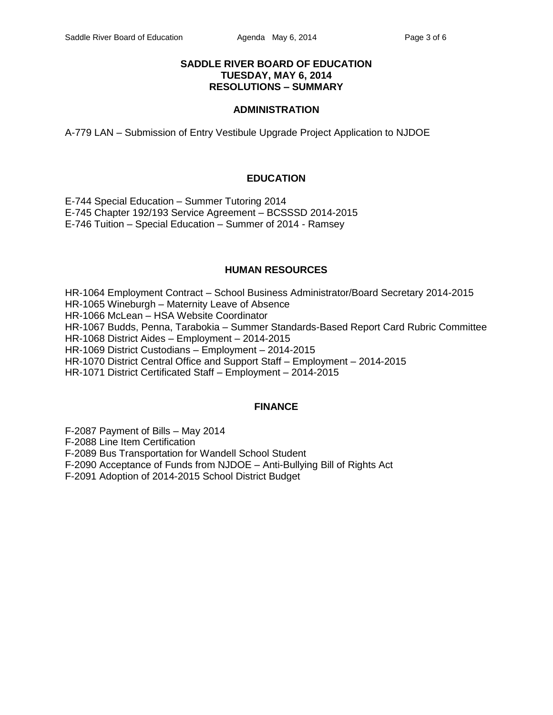## **SADDLE RIVER BOARD OF EDUCATION TUESDAY, MAY 6, 2014 RESOLUTIONS – SUMMARY**

### **ADMINISTRATION**

A-779 LAN – Submission of Entry Vestibule Upgrade Project Application to NJDOE

## **EDUCATION**

E-744 Special Education – Summer Tutoring 2014 E-745 Chapter 192/193 Service Agreement – BCSSSD 2014-2015 E-746 Tuition – Special Education – Summer of 2014 - Ramsey

## **HUMAN RESOURCES**

HR-1064 Employment Contract – School Business Administrator/Board Secretary 2014-2015 HR-1065 Wineburgh – Maternity Leave of Absence HR-1066 McLean – HSA Website Coordinator HR-1067 Budds, Penna, Tarabokia – Summer Standards-Based Report Card Rubric Committee HR-1068 District Aides – Employment – 2014-2015 HR-1069 District Custodians – Employment – 2014-2015 HR-1070 District Central Office and Support Staff – Employment – 2014-2015 HR-1071 District Certificated Staff – Employment – 2014-2015

## **FINANCE**

F-2087 Payment of Bills – May 2014

F-2088 Line Item Certification

F-2089 Bus Transportation for Wandell School Student

F-2090 Acceptance of Funds from NJDOE – Anti-Bullying Bill of Rights Act

F-2091 Adoption of 2014-2015 School District Budget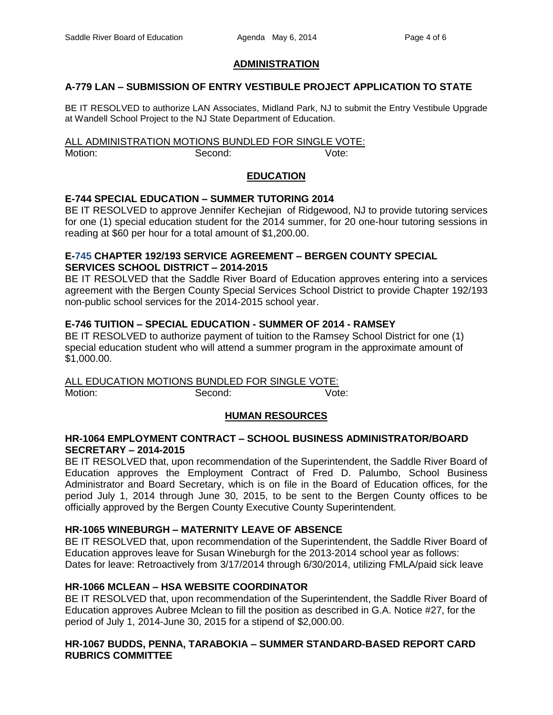# **ADMINISTRATION**

# **A-779 LAN – SUBMISSION OF ENTRY VESTIBULE PROJECT APPLICATION TO STATE**

BE IT RESOLVED to authorize LAN Associates, Midland Park, NJ to submit the Entry Vestibule Upgrade at Wandell School Project to the NJ State Department of Education.

ALL ADMINISTRATION MOTIONS BUNDLED FOR SINGLE VOTE: Motion: Second: Vote:

## **EDUCATION**

## **E-744 SPECIAL EDUCATION – SUMMER TUTORING 2014**

BE IT RESOLVED to approve Jennifer Kechejian of Ridgewood, NJ to provide tutoring services for one (1) special education student for the 2014 summer, for 20 one-hour tutoring sessions in reading at \$60 per hour for a total amount of \$1,200.00.

### **E-745 CHAPTER 192/193 SERVICE AGREEMENT – BERGEN COUNTY SPECIAL SERVICES SCHOOL DISTRICT – 2014-2015**

BE IT RESOLVED that the Saddle River Board of Education approves entering into a services agreement with the Bergen County Special Services School District to provide Chapter 192/193 non-public school services for the 2014-2015 school year.

## **E-746 TUITION – SPECIAL EDUCATION - SUMMER OF 2014 - RAMSEY**

BE IT RESOLVED to authorize payment of tuition to the Ramsey School District for one (1) special education student who will attend a summer program in the approximate amount of \$1,000.00.

ALL EDUCATION MOTIONS BUNDLED FOR SINGLE VOTE: Motion: Second: Second: Vote:

## **HUMAN RESOURCES**

### **HR-1064 EMPLOYMENT CONTRACT – SCHOOL BUSINESS ADMINISTRATOR/BOARD SECRETARY – 2014-2015**

BE IT RESOLVED that, upon recommendation of the Superintendent, the Saddle River Board of Education approves the Employment Contract of Fred D. Palumbo, School Business Administrator and Board Secretary, which is on file in the Board of Education offices, for the period July 1, 2014 through June 30, 2015, to be sent to the Bergen County offices to be officially approved by the Bergen County Executive County Superintendent.

### **HR-1065 WINEBURGH – MATERNITY LEAVE OF ABSENCE**

BE IT RESOLVED that, upon recommendation of the Superintendent, the Saddle River Board of Education approves leave for Susan Wineburgh for the 2013-2014 school year as follows: Dates for leave: Retroactively from 3/17/2014 through 6/30/2014, utilizing FMLA/paid sick leave

### **HR-1066 MCLEAN – HSA WEBSITE COORDINATOR**

BE IT RESOLVED that, upon recommendation of the Superintendent, the Saddle River Board of Education approves Aubree Mclean to fill the position as described in G.A. Notice #27, for the period of July 1, 2014-June 30, 2015 for a stipend of \$2,000.00.

## **HR-1067 BUDDS, PENNA, TARABOKIA – SUMMER STANDARD-BASED REPORT CARD RUBRICS COMMITTEE**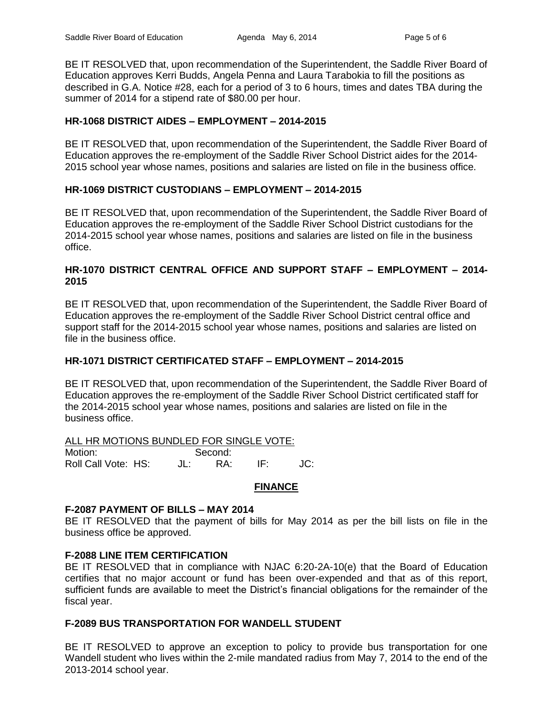BE IT RESOLVED that, upon recommendation of the Superintendent, the Saddle River Board of Education approves Kerri Budds, Angela Penna and Laura Tarabokia to fill the positions as described in G.A. Notice #28, each for a period of 3 to 6 hours, times and dates TBA during the summer of 2014 for a stipend rate of \$80.00 per hour.

## **HR-1068 DISTRICT AIDES – EMPLOYMENT – 2014-2015**

BE IT RESOLVED that, upon recommendation of the Superintendent, the Saddle River Board of Education approves the re-employment of the Saddle River School District aides for the 2014- 2015 school year whose names, positions and salaries are listed on file in the business office.

## **HR-1069 DISTRICT CUSTODIANS – EMPLOYMENT – 2014-2015**

BE IT RESOLVED that, upon recommendation of the Superintendent, the Saddle River Board of Education approves the re-employment of the Saddle River School District custodians for the 2014-2015 school year whose names, positions and salaries are listed on file in the business office.

## **HR-1070 DISTRICT CENTRAL OFFICE AND SUPPORT STAFF – EMPLOYMENT – 2014- 2015**

BE IT RESOLVED that, upon recommendation of the Superintendent, the Saddle River Board of Education approves the re-employment of the Saddle River School District central office and support staff for the 2014-2015 school year whose names, positions and salaries are listed on file in the business office.

### **HR-1071 DISTRICT CERTIFICATED STAFF – EMPLOYMENT – 2014-2015**

BE IT RESOLVED that, upon recommendation of the Superintendent, the Saddle River Board of Education approves the re-employment of the Saddle River School District certificated staff for the 2014-2015 school year whose names, positions and salaries are listed on file in the business office.

| ALL HR MOTIONS BUNDLED FOR SINGLE VOTE: |       |         |     |     |
|-----------------------------------------|-------|---------|-----|-----|
| Motion:                                 |       | Second: |     |     |
| Roll Call Vote: HS:                     | JL: I | RA.     | IE. | JC: |

## **FINANCE**

### **F-2087 PAYMENT OF BILLS – MAY 2014**

BE IT RESOLVED that the payment of bills for May 2014 as per the bill lists on file in the business office be approved.

### **F-2088 LINE ITEM CERTIFICATION**

BE IT RESOLVED that in compliance with NJAC 6:20-2A-10(e) that the Board of Education certifies that no major account or fund has been over-expended and that as of this report, sufficient funds are available to meet the District's financial obligations for the remainder of the fiscal year.

### **F-2089 BUS TRANSPORTATION FOR WANDELL STUDENT**

BE IT RESOLVED to approve an exception to policy to provide bus transportation for one Wandell student who lives within the 2-mile mandated radius from May 7, 2014 to the end of the 2013-2014 school year.